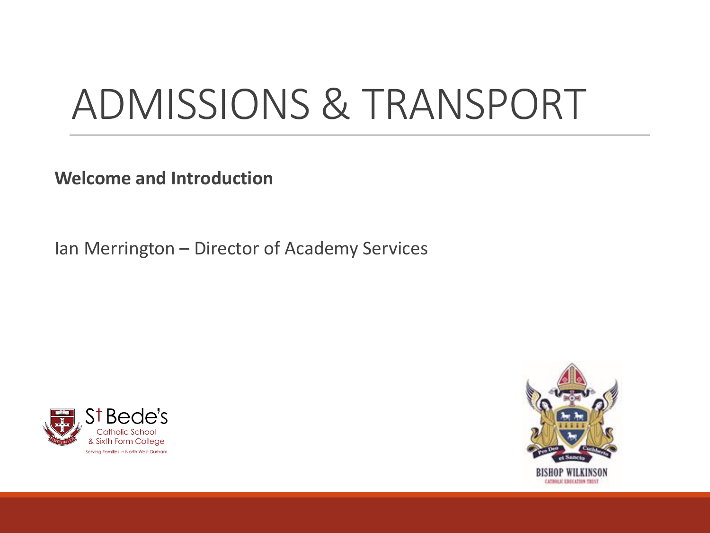# ADMISSIONS & TRANSPORT

**Welcome and Introduction**

Ian Merrington – Director of Academy Services



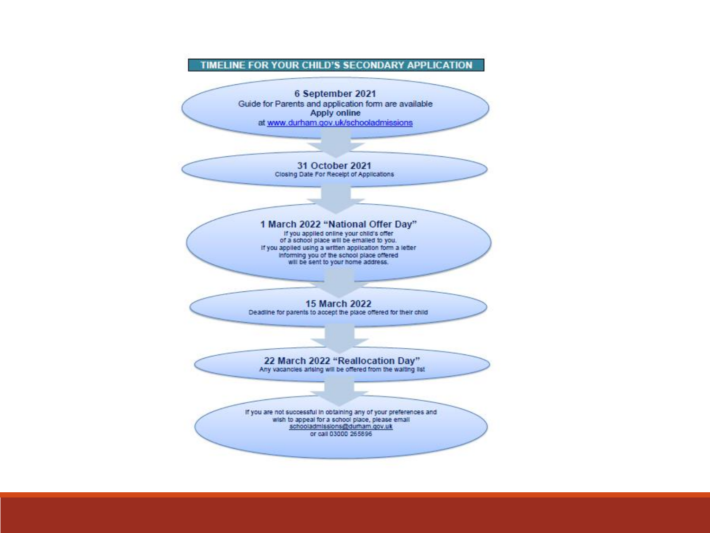#### TIMELINE FOR YOUR CHILD'S SECONDARY APPLICATION

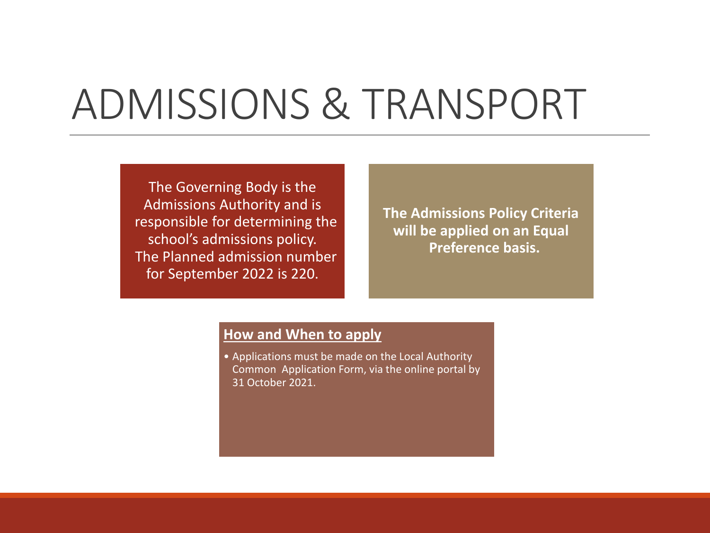## ADMISSIONS & TRANSPORT

The Governing Body is the Admissions Authority and is responsible for determining the school's admissions policy. The Planned admission number for September 2022 is 220.

**The Admissions Policy Criteria will be applied on an Equal Preference basis.**

#### **How and When to apply**

• Applications must be made on the Local Authority Common Application Form, via the online portal by 31 October 2021.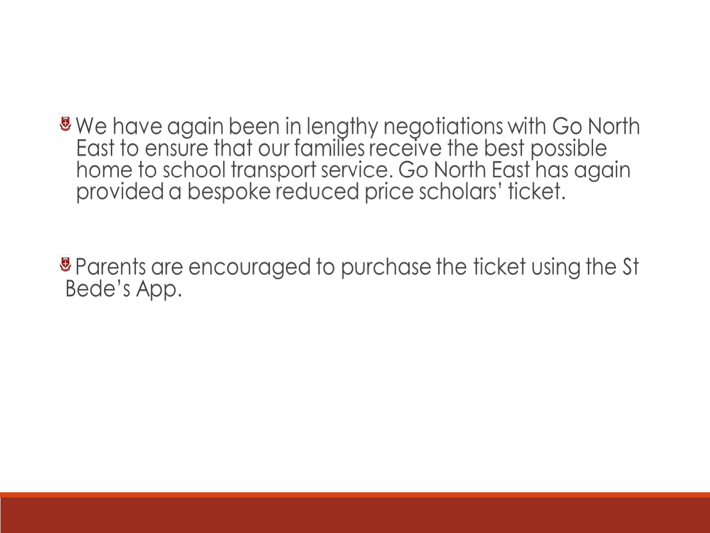We have again been in lengthy negotiations with Go North<br>East to ensure that our families receive the best possible home to school transport service. Go North East has again provided a bespoke reduced price scholars' ticket.

® Parents are encouraged to purchase the ticket using the St Bede's App.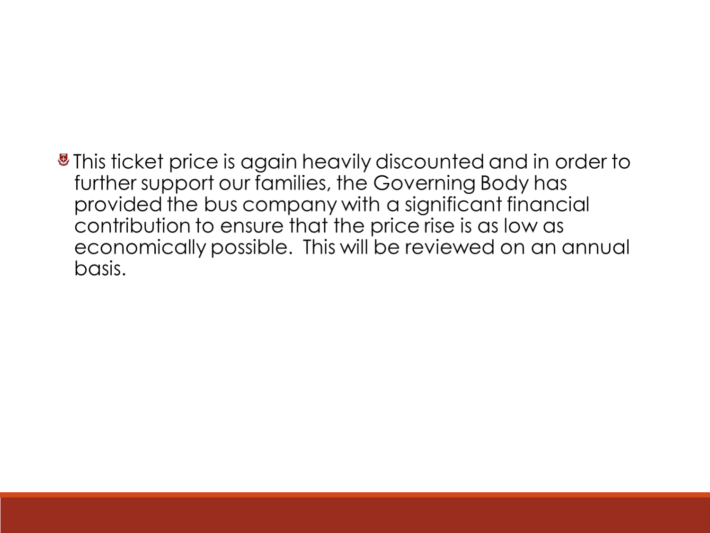### ■ This ticket price is again heavily discounted and in order to further support our families, the Governing Body has provided the bus company with a significant financial contribution to ensure that the price rise is as low as economically possible. This will be reviewed on an annual basis.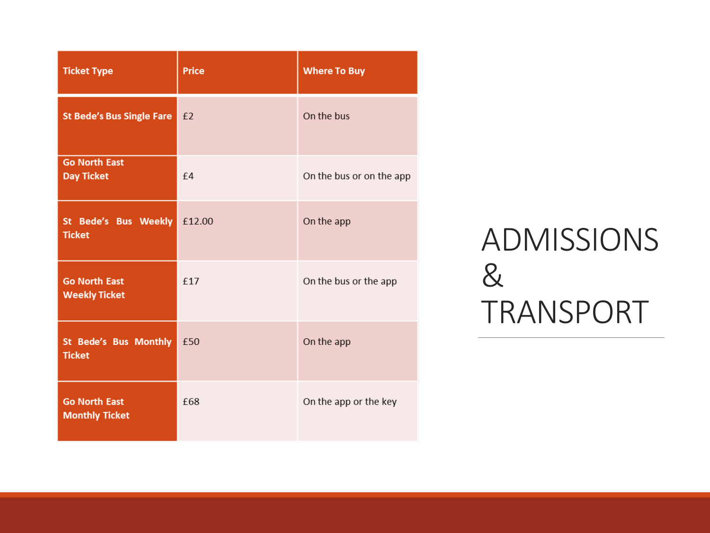| <b>Ticket Type</b>                            | <b>Price</b> | <b>Where To Buy</b>      |
|-----------------------------------------------|--------------|--------------------------|
| St Bede's Bus Single Fare   £2                |              | On the bus               |
| <b>Go North East</b><br><b>Day Ticket</b>     | f4           | On the bus or on the app |
| St Bede's Bus Weekly £12.00<br><b>Ticket</b>  |              | On the app               |
| <b>Go North East</b><br><b>Weekly Ticket</b>  | £17          | On the bus or the app    |
| St Bede's Bus Monthly £50<br><b>Ticket</b>    |              | On the app               |
| <b>Go North East</b><br><b>Monthly Ticket</b> | £68          | On the app or the key    |

### ADMISSIONS & TRANSPORT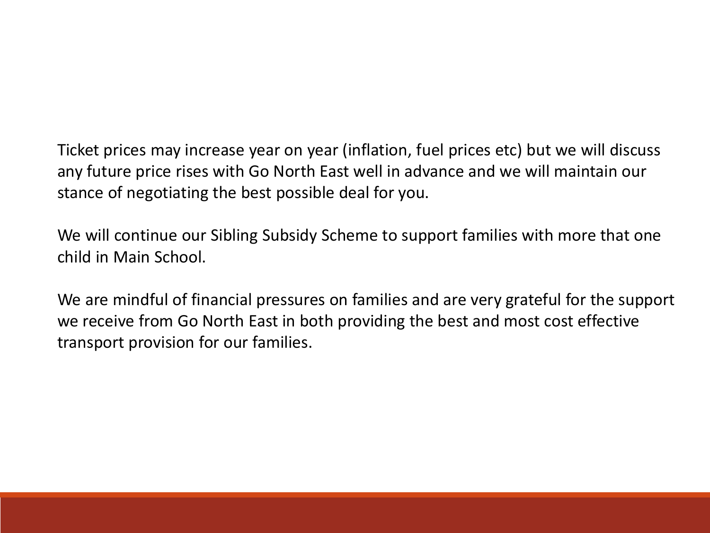Ticket prices may increase year on year (inflation, fuel prices etc) but we will discuss any future price rises with Go North East well in advance and we will maintain our stance of negotiating the best possible deal for you.

We will continue our Sibling Subsidy Scheme to support families with more that one child in Main School.

We are mindful of financial pressures on families and are very grateful for the support we receive from Go North East in both providing the best and most cost effective transport provision for our families.